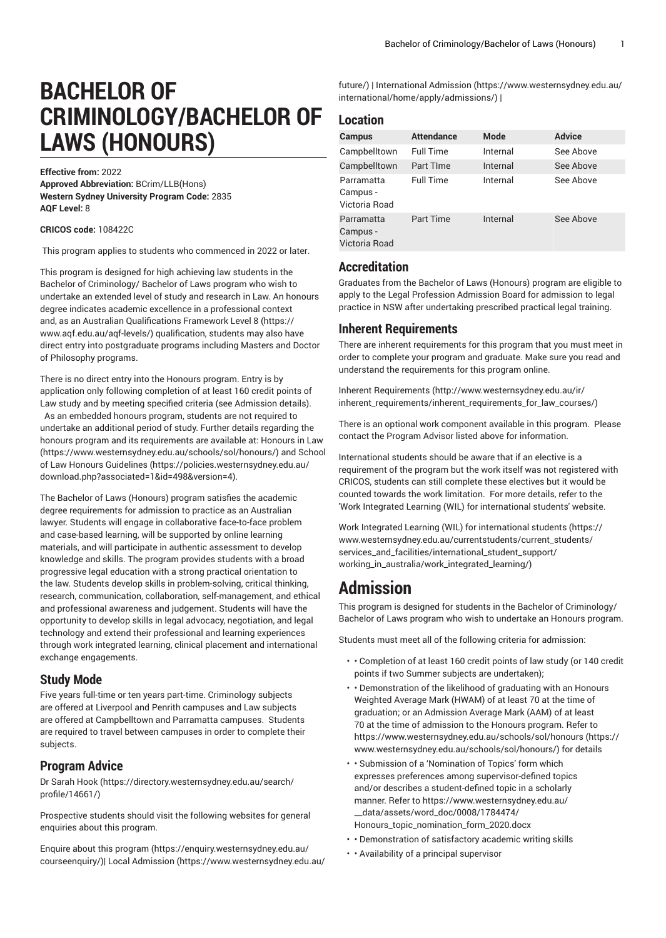# **BACHELOR OF CRIMINOLOGY/BACHELOR OF LAWS (HONOURS)**

#### **Effective from:** 2022

**Approved Abbreviation:** BCrim/LLB(Hons) **Western Sydney University Program Code:** 2835 **AQF Level:** 8

#### **CRICOS code:** 108422C

This program applies to students who commenced in 2022 or later.

This program is designed for high achieving law students in the Bachelor of Criminology/ Bachelor of Laws program who wish to undertake an extended level of study and research in Law. An honours degree indicates academic excellence in a professional context and, as an Australian [Qualifications](https://www.aqf.edu.au/aqf-levels/) Framework Level 8 ([https://](https://www.aqf.edu.au/aqf-levels/) [www.aqf.edu.au/aqf-levels/](https://www.aqf.edu.au/aqf-levels/)) qualification, students may also have direct entry into postgraduate programs including Masters and Doctor of Philosophy programs.

There is no direct entry into the Honours program. Entry is by application only following completion of at least 160 credit points of Law study and by meeting specified criteria (see Admission details). As an embedded honours program, students are not required to undertake an additional period of study. Further details regarding the honours program and its requirements are available at: [Honours in Law](https://www.westernsydney.edu.au/schools/sol/honours/) ([https://www.westernsydney.edu.au/schools/sol/honours/\)](https://www.westernsydney.edu.au/schools/sol/honours/) and [School](https://policies.westernsydney.edu.au/download.php?associated=1&id=498&version=4) [of Law Honours Guidelines \(https://policies.westernsydney.edu.au/](https://policies.westernsydney.edu.au/download.php?associated=1&id=498&version=4) [download.php?associated=1&id=498&version=4\)](https://policies.westernsydney.edu.au/download.php?associated=1&id=498&version=4).

The Bachelor of Laws (Honours) program satisfies the academic degree requirements for admission to practice as an Australian lawyer. Students will engage in collaborative face-to-face problem and case-based learning, will be supported by online learning materials, and will participate in authentic assessment to develop knowledge and skills. The program provides students with a broad progressive legal education with a strong practical orientation to the law. Students develop skills in problem-solving, critical thinking, research, communication, collaboration, self-management, and ethical and professional awareness and judgement. Students will have the opportunity to develop skills in legal advocacy, negotiation, and legal technology and extend their professional and learning experiences through work integrated learning, clinical placement and international exchange engagements.

### **Study Mode**

Five years full-time or ten years part-time. Criminology subjects are offered at Liverpool and Penrith campuses and Law subjects are offered at Campbelltown and Parramatta campuses. Students are required to travel between campuses in order to complete their subjects.

### **Program Advice**

[Dr Sarah Hook](https://directory.westernsydney.edu.au/search/profile/14661/) ([https://directory.westernsydney.edu.au/search/](https://directory.westernsydney.edu.au/search/profile/14661/) [profile/14661/\)](https://directory.westernsydney.edu.au/search/profile/14661/)

Prospective students should visit the following websites for general enquiries about this program.

Enquire about this [program \(https://enquiry.westernsydney.edu.au/](https://enquiry.westernsydney.edu.au/courseenquiry/) [courseenquiry/](https://enquiry.westernsydney.edu.au/courseenquiry/))| [Local Admission \(https://www.westernsydney.edu.au/](https://www.westernsydney.edu.au/future/) [future/](https://www.westernsydney.edu.au/future/)) | [International Admission \(https://www.westernsydney.edu.au/](https://www.westernsydney.edu.au/international/home/apply/admissions/) [international/home/apply/admissions/](https://www.westernsydney.edu.au/international/home/apply/admissions/)) |

## **Location**

| Campus                                  | <b>Attendance</b> | Mode     | <b>Advice</b> |
|-----------------------------------------|-------------------|----------|---------------|
| Campbelltown                            | <b>Full Time</b>  | Internal | See Above     |
| Campbelltown                            | Part TIme         | Internal | See Above     |
| Parramatta<br>Campus -<br>Victoria Road | <b>Full Time</b>  | Internal | See Above     |
| Parramatta<br>Campus -<br>Victoria Road | <b>Part Time</b>  | Internal | See Above     |

### **Accreditation**

Graduates from the Bachelor of Laws (Honours) program are eligible to apply to the Legal Profession Admission Board for admission to legal practice in NSW after undertaking prescribed practical legal training.

### **Inherent Requirements**

There are inherent requirements for this program that you must meet in order to complete your program and graduate. Make sure you read and understand the requirements for this program online.

Inherent [Requirements](http://www.westernsydney.edu.au/ir/inherent_requirements/inherent_requirements_for_law_courses/) ([http://www.westernsydney.edu.au/ir/](http://www.westernsydney.edu.au/ir/inherent_requirements/inherent_requirements_for_law_courses/) [inherent\\_requirements/inherent\\_requirements\\_for\\_law\\_courses/](http://www.westernsydney.edu.au/ir/inherent_requirements/inherent_requirements_for_law_courses/))

There is an optional work component available in this program. Please contact the Program Advisor listed above for information.

International students should be aware that if an elective is a requirement of the program but the work itself was not registered with CRICOS, students can still complete these electives but it would be counted towards the work limitation. For more details, refer to the 'Work Integrated Learning (WIL) for international students' website.

Work Integrated Learning (WIL) for [international](https://www.westernsydney.edu.au/currentstudents/current_students/services_and_facilities/international_student_support/working_in_australia/work_integrated_learning/) students ([https://](https://www.westernsydney.edu.au/currentstudents/current_students/services_and_facilities/international_student_support/working_in_australia/work_integrated_learning/) [www.westernsydney.edu.au/currentstudents/current\\_students/](https://www.westernsydney.edu.au/currentstudents/current_students/services_and_facilities/international_student_support/working_in_australia/work_integrated_learning/) [services\\_and\\_facilities/international\\_student\\_support/](https://www.westernsydney.edu.au/currentstudents/current_students/services_and_facilities/international_student_support/working_in_australia/work_integrated_learning/) [working\\_in\\_australia/work\\_integrated\\_learning/](https://www.westernsydney.edu.au/currentstudents/current_students/services_and_facilities/international_student_support/working_in_australia/work_integrated_learning/))

# **Admission**

This program is designed for students in the Bachelor of Criminology/ Bachelor of Laws program who wish to undertake an Honours program.

Students must meet all of the following criteria for admission:

- • Completion of at least 160 credit points of law study (or 140 credit points if two Summer subjects are undertaken);
- • Demonstration of the likelihood of graduating with an Honours Weighted Average Mark (HWAM) of at least 70 at the time of graduation; or an Admission Average Mark (AAM) of at least 70 at the time of admission to the Honours program. Refer to [https://www.westernsydney.edu.au/schools/sol/honours](https://www.westernsydney.edu.au/schools/sol/honours/) ([https://](https://www.westernsydney.edu.au/schools/sol/honours/) [www.westernsydney.edu.au/schools/sol/honours/\)](https://www.westernsydney.edu.au/schools/sol/honours/) for details
- • Submission of a 'Nomination of Topics' form which expresses preferences among supervisor-defined topics and/or describes a student-defined topic in a scholarly manner. Refer to [https://www.westernsydney.edu.au/](https://www.westernsydney.edu.au/__data/assets/word_doc/0008/1784474/Honours_topic_nomination_form_2020.docx) [\\_\\_data/assets/word\\_doc/0008/1784474/](https://www.westernsydney.edu.au/__data/assets/word_doc/0008/1784474/Honours_topic_nomination_form_2020.docx) [Honours\\_topic\\_nomination\\_form\\_2020.docx](https://www.westernsydney.edu.au/__data/assets/word_doc/0008/1784474/Honours_topic_nomination_form_2020.docx)
- • Demonstration of satisfactory academic writing skills
- • Availability of a principal supervisor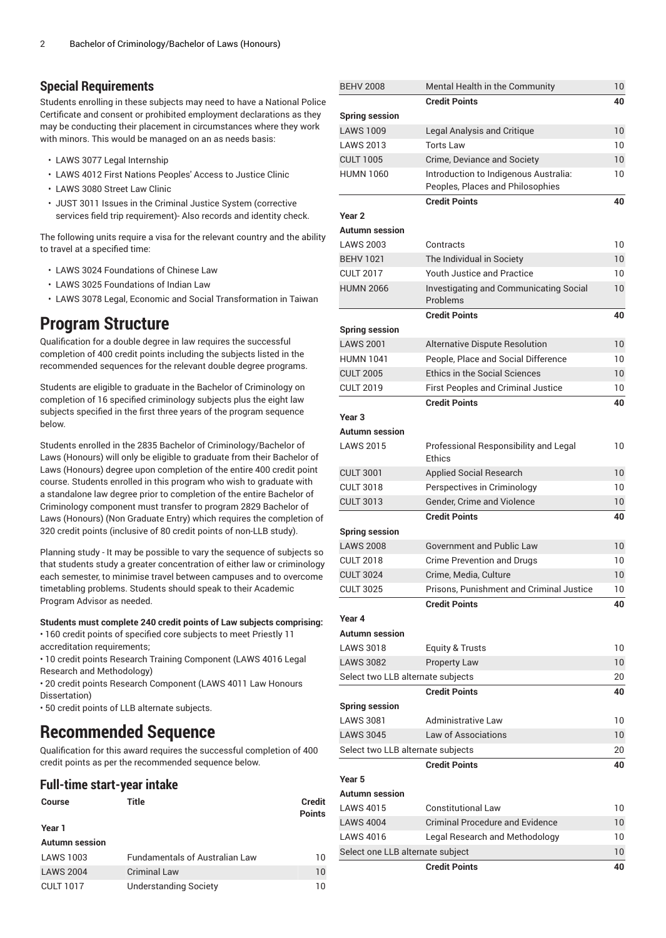## **Special Requirements**

Students enrolling in these subjects may need to have a National Police Certificate and consent or prohibited employment declarations as they may be conducting their placement in circumstances where they work with minors. This would be managed on an as needs basis:

- LAWS 3077 Legal Internship
- LAWS 4012 First Nations Peoples' Access to Justice Clinic
- LAWS 3080 Street Law Clinic
- JUST 3011 Issues in the Criminal Justice System (corrective services field trip requirement)- Also records and identity check.

The following units require a visa for the relevant country and the ability to travel at a specified time:

- LAWS 3024 Foundations of Chinese Law
- LAWS 3025 Foundations of Indian Law
- LAWS 3078 Legal, Economic and Social Transformation in Taiwan

# **Program Structure**

Qualification for a double degree in law requires the successful completion of 400 credit points including the subjects listed in the recommended sequences for the relevant double degree programs.

Students are eligible to graduate in the Bachelor of Criminology on completion of 16 specified criminology subjects plus the eight law subjects specified in the first three years of the program sequence below.

Students enrolled in the 2835 Bachelor of Criminology/Bachelor of Laws (Honours) will only be eligible to graduate from their Bachelor of Laws (Honours) degree upon completion of the entire 400 credit point course. Students enrolled in this program who wish to graduate with a standalone law degree prior to completion of the entire Bachelor of Criminology component must transfer to program 2829 Bachelor of Laws (Honours) (Non Graduate Entry) which requires the completion of 320 credit points (inclusive of 80 credit points of non-LLB study).

Planning study - It may be possible to vary the sequence of subjects so that students study a greater concentration of either law or criminology each semester, to minimise travel between campuses and to overcome timetabling problems. Students should speak to their Academic Program Advisor as needed.

### **Students must complete 240 credit points of Law subjects comprising:**

• 160 credit points of specified core subjects to meet Priestly 11 accreditation requirements;

• 10 credit points Research Training Component (LAWS 4016 Legal Research and Methodology)

• 20 credit points Research Component (LAWS 4011 Law Honours Dissertation)

• 50 credit points of LLB alternate subjects.

# **Recommended Sequence**

Qualification for this award requires the successful completion of 400 credit points as per the recommended sequence below.

### **Full-time start-year intake**

| Course                | Title                                 | <b>Credit</b><br><b>Points</b> |
|-----------------------|---------------------------------------|--------------------------------|
| Year 1                |                                       |                                |
| <b>Autumn session</b> |                                       |                                |
| <b>LAWS 1003</b>      | <b>Fundamentals of Australian Law</b> | 10                             |
| <b>LAWS 2004</b>      | <b>Criminal Law</b>                   | 10                             |
| <b>CULT 1017</b>      | <b>Understanding Society</b>          | 10                             |

| <b>BEHV 2008</b>                     | Mental Health in the Community                            | 10 <sup>°</sup> |
|--------------------------------------|-----------------------------------------------------------|-----------------|
|                                      | <b>Credit Points</b>                                      | 40              |
| <b>Spring session</b>                |                                                           |                 |
| <b>LAWS 1009</b>                     | Legal Analysis and Critique                               | 10              |
| <b>LAWS 2013</b>                     | <b>Torts Law</b>                                          | 10              |
| <b>CULT 1005</b>                     | Crime, Deviance and Society                               | 10              |
| <b>HUMN 1060</b>                     | Introduction to Indigenous Australia:                     | 10              |
|                                      | Peoples, Places and Philosophies                          |                 |
|                                      | <b>Credit Points</b>                                      | 40              |
| Year <sub>2</sub>                    |                                                           |                 |
| Autumn session                       |                                                           |                 |
| <b>LAWS 2003</b>                     | Contracts                                                 | 10              |
| <b>BEHV 1021</b>                     | The Individual in Society                                 | 10              |
| <b>CULT 2017</b><br><b>HUMN 2066</b> | <b>Youth Justice and Practice</b>                         | 10              |
|                                      | <b>Investigating and Communicating Social</b><br>Problems | 10              |
|                                      | <b>Credit Points</b>                                      | 40              |
| <b>Spring session</b>                |                                                           |                 |
| <b>LAWS 2001</b>                     | Alternative Dispute Resolution                            | 10              |
| <b>HUMN 1041</b>                     | People, Place and Social Difference                       | 10              |
| <b>CULT 2005</b>                     | <b>Ethics in the Social Sciences</b>                      | 10              |
| <b>CULT 2019</b>                     | First Peoples and Criminal Justice                        | 10              |
|                                      | <b>Credit Points</b>                                      | 40              |
| Year <sub>3</sub>                    |                                                           |                 |
| Autumn session                       |                                                           |                 |
| <b>LAWS 2015</b>                     | Professional Responsibility and Legal<br>Ethics           | 10              |
| <b>CULT 3001</b>                     | Applied Social Research                                   | 10              |
| <b>CULT 3018</b>                     | Perspectives in Criminology                               | 10              |
| <b>CULT 3013</b>                     | Gender, Crime and Violence                                | 10              |
|                                      | <b>Credit Points</b>                                      | 40              |
| <b>Spring session</b>                |                                                           |                 |
| <b>LAWS 2008</b>                     | <b>Government and Public Law</b>                          | 10              |
| <b>CULT 2018</b>                     | Crime Prevention and Drugs                                | 10              |
| <b>CULT 3024</b>                     | Crime, Media, Culture                                     | 10              |
| <b>CULT 3025</b>                     | Prisons, Punishment and Criminal Justice                  | 10              |
|                                      | <b>Credit Points</b>                                      | 40              |
| Year 4                               |                                                           |                 |
| <b>Autumn session</b>                |                                                           |                 |
| <b>LAWS 3018</b>                     | Equity & Trusts                                           | 10              |
| <b>LAWS 3082</b>                     | Property Law                                              | 10 <sup>°</sup> |
| Select two LLB alternate subjects    | <b>Credit Points</b>                                      | 20<br>40        |
| <b>Spring session</b>                |                                                           |                 |
| <b>LAWS 3081</b>                     | Administrative Law                                        | 10              |
| <b>LAWS 3045</b>                     | Law of Associations                                       | 10 <sup>°</sup> |
| Select two LLB alternate subjects    |                                                           | 20              |
|                                      | <b>Credit Points</b>                                      | 40              |
| Year 5                               |                                                           |                 |
| Autumn session                       |                                                           |                 |
| <b>LAWS 4015</b>                     | <b>Constitutional Law</b>                                 | 10              |
| <b>LAWS 4004</b>                     | <b>Criminal Procedure and Evidence</b>                    | 10              |
| <b>LAWS 4016</b>                     | Legal Research and Methodology                            | 10              |
| Select one LLB alternate subject     |                                                           | 10              |
|                                      | <b>Credit Points</b>                                      | 40              |